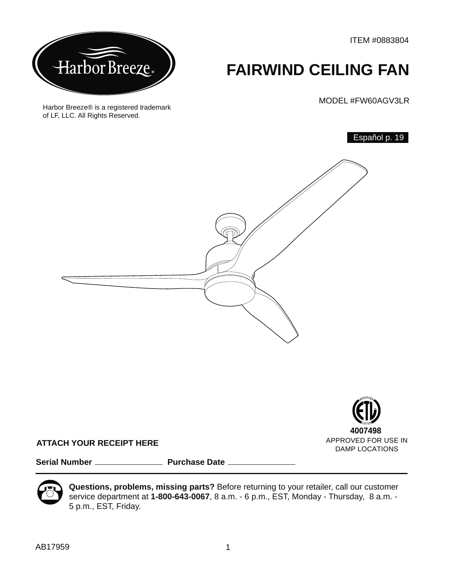ITEM #0883804



Harbor Breeze® is a registered trademark

of LF, LLC. All Rights Reserved.

# **FAIRWIND CEILING FAN**

MODEL #FW60AGV3LR

Español p. 19





#### **ATTACH YOUR RECEIPT HERE**

Serial Number **Manual Accord Purchase Date** 



**Questions, problems, missing parts?** Before returning to your retailer, call our customer service department at **1-800-643-0067**, 8 a.m. - 6 p.m., EST, Monday - Thursday, 8 a.m. - 5 p.m., EST, Friday.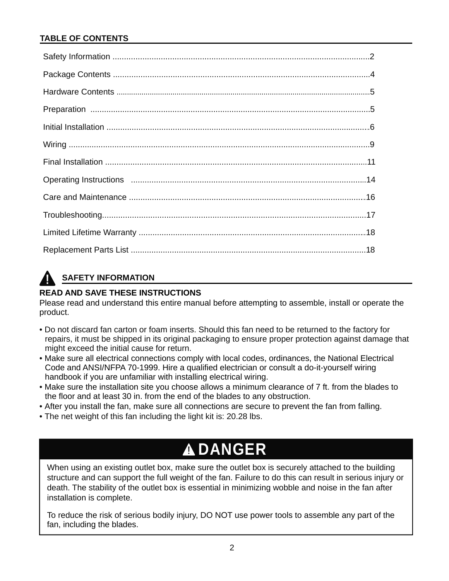### **TABLE OF CONTENTS**

# **SAFETY INFORMATION**

### **READ AND SAVE THESE INSTRUCTIONS**

Please read and understand this entire manual before attempting to assemble, install or operate the product.

- Do not discard fan carton or foam inserts. Should this fan need to be returned to the factory for repairs, it must be shipped in its original packaging to ensure proper protection against damage that might exceed the initial cause for return.
- Make sure all electrical connections comply with local codes, ordinances, the National Electrical Code and ANSI/NFPA 70-1999. Hire a qualified electrician or consult a do-it-yourself wiring handbook if you are unfamiliar with installing electrical wiring.
- Make sure the installation site you choose allows a minimum clearance of 7 ft. from the blades to the floor and at least 30 in. from the end of the blades to any obstruction.
- After you install the fan, make sure all connections are secure to prevent the fan from falling.
- The net weight of this fan including the light kit is: 20.28 lbs.

# **DANGER**

When using an existing outlet box, make sure the outlet box is securely attached to the building structure and can support the full weight of the fan. Failure to do this can result in serious injury or death. The stability of the outlet box is essential in minimizing wobble and noise in the fan after installation is complete.

To reduce the risk of serious bodily injury, DO NOT use power tools to assemble any part of the fan, including the blades.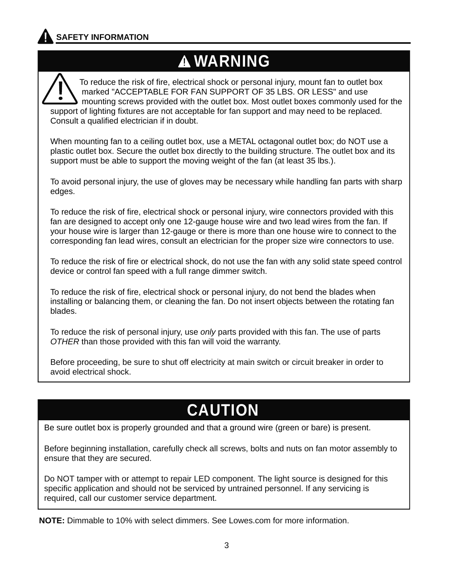# **WARNING WARNING**

 To reduce the risk of fire, electrical shock or personal injury, mount fan to outlet box marked "ACCEPTABLE FOR FAN SUPPORT OF 35 LBS. OR LESS" and use mounting screws provided with the outlet box. Most outlet boxes commonly used for the support of lighting fixtures are not acceptable for fan support and may need to be replaced. Consult a qualified electrician if in doubt. I

When mounting fan to a ceiling outlet box, use a METAL octagonal outlet box; do NOT use a plastic outlet box. Secure the outlet box directly to the building structure. The outlet box and its support must be able to support the moving weight of the fan (at least 35 lbs.).

To avoid personal injury, the use of gloves may be necessary while handling fan parts with sharp edges.

To reduce the risk of fire, electrical shock or personal injury, wire connectors provided with this fan are designed to accept only one 12-gauge house wire and two lead wires from the fan. If your house wire is larger than 12-gauge or there is more than one house wire to connect to the corresponding fan lead wires, consult an electrician for the proper size wire connectors to use.

To reduce the risk of fire or electrical shock, do not use the fan with any solid state speed control device or control fan speed with a full range dimmer switch.

To reduce the risk of fire, electrical shock or personal injury, do not bend the blades when installing or balancing them, or cleaning the fan. Do not insert objects between the rotating fan blades.

To reduce the risk of personal injury, use *only* parts provided with this fan. The use of parts *OTHER* than those provided with this fan will void the warranty.

Before proceeding, be sure to shut off electricity at main switch or circuit breaker in order to avoid electrical shock.

# **CAUTION**

Be sure outlet box is properly grounded and that a ground wire (green or bare) is present.

Before beginning installation, carefully check all screws, bolts and nuts on fan motor assembly to ensure that they are secured.

Do NOT tamper with or attempt to repair LED component. The light source is designed for this specific application and should not be serviced by untrained personnel. If any servicing is required, call our customer service department.

**NOTE:** Dimmable to 10% with select dimmers. See Lowes.com for more information.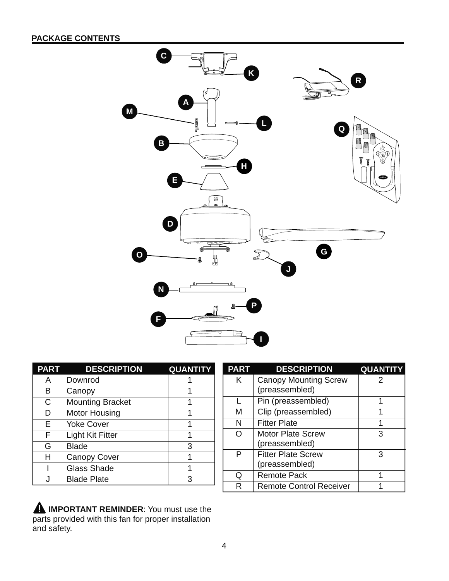## **PACKAGE CONTENTS**



| <b>PART</b> | <b>DESCRIPTION</b>      | <b>QUANTITY</b> |
|-------------|-------------------------|-----------------|
| А           | Downrod                 |                 |
| в           | Canopy                  |                 |
| C           | <b>Mounting Bracket</b> |                 |
| D           | <b>Motor Housing</b>    |                 |
| Е           | <b>Yoke Cover</b>       | 1               |
| F           | Light Kit Fitter        |                 |
| G           | <b>Blade</b>            | 3               |
| н           | <b>Canopy Cover</b>     |                 |
|             | <b>Glass Shade</b>      |                 |
|             | <b>Blade Plate</b>      | 3               |

| <b>PART</b> | <b>DESCRIPTION</b>             | <b>QUANTIT</b> |
|-------------|--------------------------------|----------------|
| Κ           | <b>Canopy Mounting Screw</b>   | 2              |
|             | (preassembled)                 |                |
|             | Pin (preassembled)             | 1              |
| м           | Clip (preassembled)            |                |
| N           | <b>Fitter Plate</b>            | 1              |
| ∩           | <b>Motor Plate Screw</b>       | 3              |
|             | (preassembled)                 |                |
| Р           | <b>Fitter Plate Screw</b>      | 3              |
|             | (preassembled)                 |                |
| O           | <b>Remote Pack</b>             | 1              |
| R           | <b>Remote Control Receiver</b> |                |

**A IMPORTANT REMINDER:** You must use the parts provided with this fan for proper installation and safety.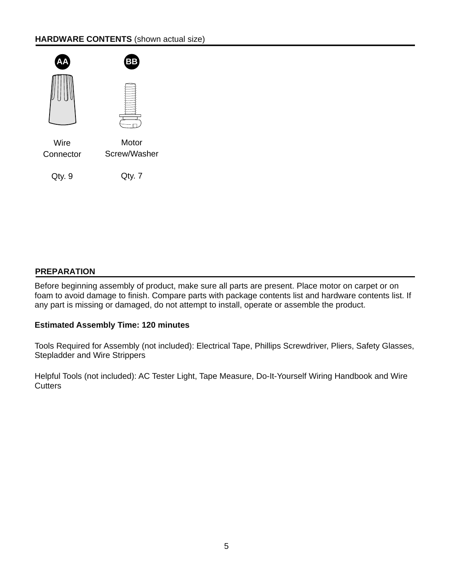#### **HARDWARE CONTENTS** (shown actual size)



#### **PREPARATION**

Before beginning assembly of product, make sure all parts are present. Place motor on carpet or on foam to avoid damage to finish. Compare parts with package contents list and hardware contents list. If any part is missing or damaged, do not attempt to install, operate or assemble the product.

#### **Estimated Assembly Time: 120 minutes**

Tools Required for Assembly (not included): Electrical Tape, Phillips Screwdriver, Pliers, Safety Glasses, Stepladder and Wire Strippers

Helpful Tools (not included): AC Tester Light, Tape Measure, Do-It-Yourself Wiring Handbook and Wire **Cutters**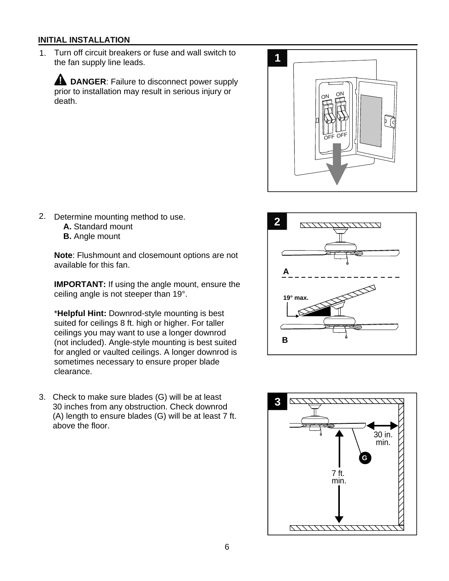1. Turn off circuit breakers or fuse and wall switch to the fan supply line leads.

**A** DANGER: Failure to disconnect power supply prior to installation may result in serious injury or death.



- 2. Determine mounting method to use.
	- **A.** Standard mount
	- **B.** Angle mount

**Note**: Flushmount and closemount options are not available for this fan.

**IMPORTANT:** If using the angle mount, ensure the ceiling angle is not steeper than 19°.

\***Helpful Hint:** Downrod-style mounting is best suited for ceilings 8 ft. high or higher. For taller ceilings you may want to use a longer downrod (not included). Angle-style mounting is best suited for angled or vaulted ceilings. A longer downrod is sometimes necessary to ensure proper blade clearance.

Check to make sure blades (G) will be at least 3. 30 inches from any obstruction. Check downrod (A) length to ensure blades (G) will be at least 7 ft. above the floor.



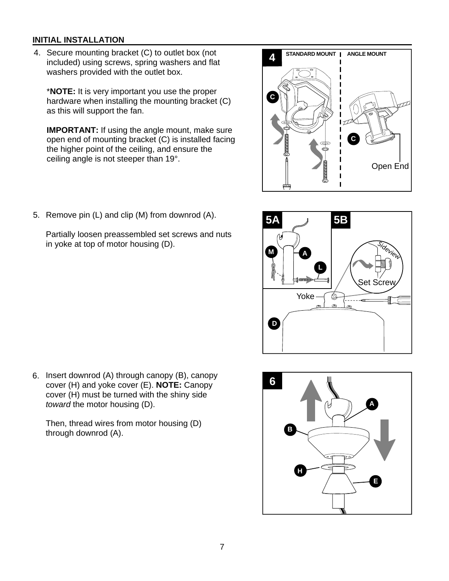4. Secure mounting bracket (C) to outlet box (not **STANDARD MOUNT ANGLE MOUNT** included) using screws, spring washers and flat washers provided with the outlet box.

\***NOTE:** It is very important you use the proper hardware when installing the mounting bracket (C) as this will support the fan.

**IMPORTANT:** If using the angle mount, make sure open end of mounting bracket (C) is installed facing the higher point of the ceiling, and ensure the ceiling angle is not steeper than 19°.



5. Remove pin (L) and clip (M) from downrod (A).

Partially loosen preassembled set screws and nuts in yoke at top of motor housing (D).



Then, thread wires from motor housing (D) through downrod (A).



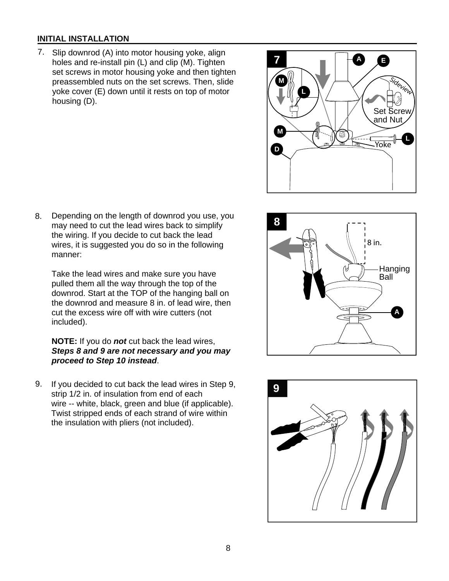- 7. Slip downrod (A) into motor housing yoke, align holes and re-install pin (L) and clip (M). Tighten set screws in motor housing yoke and then tighten preassembled nuts on the set screws. Then, slide yoke cover (E) down until it rests on top of motor housing (D).
- **D L M** Yoke **M L** Set Screw and Nut Sideview

**E**

**7 <sup>A</sup>**

Depending on the length of downrod you use, you may need to cut the lead wires back to simplify the wiring. If you decide to cut back the lead wires, it is suggested you do so in the following manner: 8.

Take the lead wires and make sure you have pulled them all the way through the top of the downrod. Start at the TOP of the hanging ball on the downrod and measure 8 in. of lead wire, then cut the excess wire off with wire cutters (not included).

#### **NOTE:** If you do *not* cut back the lead wires, *Steps 8 and 9 are not necessary and you may proceed to Step 10 instead*.

9. If you decided to cut back the lead wires in Step 9,<br>
strip 1/2 ip of insulation from and of each strip 1/2 in. of insulation from end of each wire -- white, black, green and blue (if applicable). Twist stripped ends of each strand of wire within the insulation with pliers (not included).



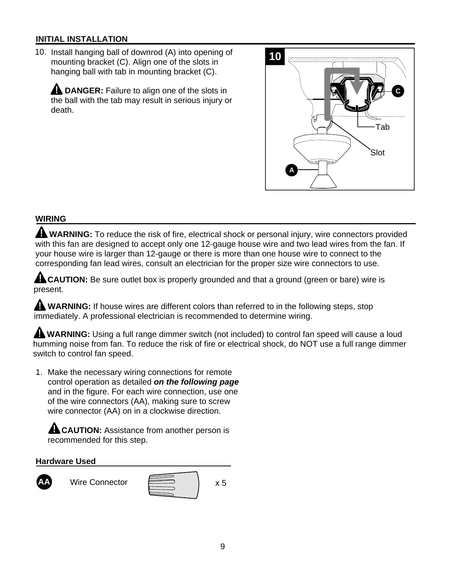10. Install hanging ball of downrod (A) into opening of mounting bracket (C). Align one of the slots in hanging ball with tab in mounting bracket (C).

**A DANGER:** Failure to align one of the slots in the ball with the tab may result in serious injury or death.



### **WIRING**

**WARNING:** To reduce the risk of fire, electrical shock or personal injury, wire connectors provided with this fan are designed to accept only one 12-gauge house wire and two lead wires from the fan. If your house wire is larger than 12-gauge or there is more than one house wire to connect to the corresponding fan lead wires, consult an electrician for the proper size wire connectors to use.

**ALCAUTION:** Be sure outlet box is properly grounded and that a ground (green or bare) wire is present.

**WARNING:** If house wires are different colors than referred to in the following steps, stop immediately. A professional electrician is recommended to determine wiring.

 **WARNING:** Using a full range dimmer switch (not included) to control fan speed will cause a loud humming noise from fan. To reduce the risk of fire or electrical shock, do NOT use a full range dimmer switch to control fan speed.

 1. Make the necessary wiring connections for remote control operation as detailed *on the following page* and in the figure. For each wire connection, use one of the wire connectors (AA), making sure to screw wire connector (AA) on in a clockwise direction.

**ALCAUTION:** Assistance from another person is recommended for this step.

#### **Hardware Used**



Wire Connector **A** A**A** A<sub>x 5</sub>

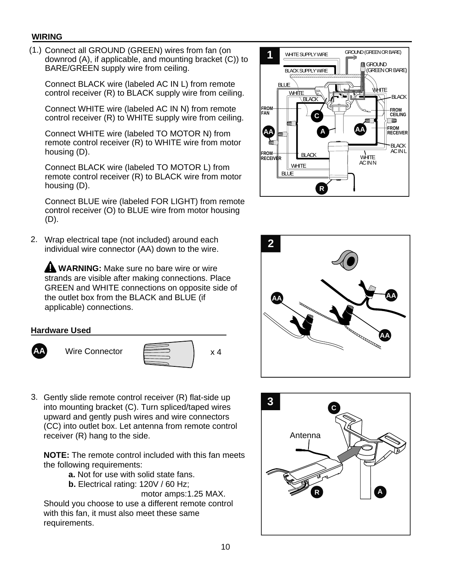#### **WIRING**

(1.) Connect all GROUND (GREEN) wires from fan (on downrod (A), if applicable, and mounting bracket (C)) to BARE/GREEN supply wire from ceiling.

Connect BLACK wire (labeled AC IN L) from remote control receiver (R) to BLACK supply wire from ceiling.

Connect WHITE wire (labeled AC IN N) from remote control receiver (R) to WHITE supply wire from ceiling.

Connect WHITE wire (labeled TO MOTOR N) from remote control receiver (R) to WHITE wire from motor housing (D).

Connect BLACK wire (labeled TO MOTOR L) from remote control receiver (R) to BLACK wire from motor housing (D).

Connect BLUE wire (labeled FOR LIGHT) from remote control receiver (O) to BLUE wire from motor housing (D).

2. Wrap electrical tape (not included) around each **2.**<br>
individual wire connector (AA) down to the wire individual wire connector (AA) down to the wire.

**A WARNING:** Make sure no bare wire or wire strands are visible after making connections. Place GREEN and WHITE connections on opposite side of the outlet box from the BLACK and BLUE (if applicable) connections.







3. Gently slide remote control receiver (R) flat-side up<br>into mounting bracket (C). Turn spliced/taped wires into mounting bracket (C). Turn spliced/taped wires upward and gently push wires and wire connectors (CC) into outlet box. Let antenna from remote control receiver (R) hang to the side.

**NOTE:** The remote control included with this fan meets the following requirements:

- **a.** Not for use with solid state fans.
- **b.** Electrical rating: 120V / 60 Hz;

 motor amps:1.25 MAX. Should you choose to use a different remote control with this fan, it must also meet these same requirements.





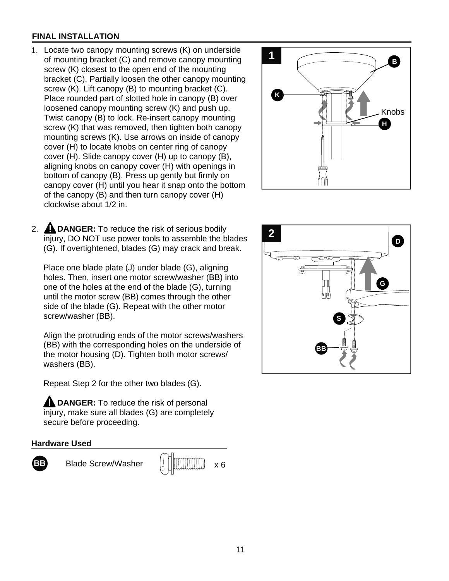#### **FINAL INSTALLATION**

- 1. Locate two canopy mounting screws (K) on underside<br>of mounting bracket (C) and remove canopy mounting of mounting bracket (C) and remove canopy mounting screw (K) closest to the open end of the mounting bracket (C). Partially loosen the other canopy mounting screw (K). Lift canopy (B) to mounting bracket (C). Place rounded part of slotted hole in canopy (B) over loosened canopy mounting screw (K) and push up. Twist canopy (B) to lock. Re-insert canopy mounting screw (K) that was removed, then tighten both canopy mounting screws (K). Use arrows on inside of canopy cover (H) to locate knobs on center ring of canopy cover (H). Slide canopy cover (H) up to canopy (B), aligning knobs on canopy cover (H) with openings in bottom of canopy (B). Press up gently but firmly on canopy cover (H) until you hear it snap onto the bottom of the canopy (B) and then turn canopy cover (H) clockwise about 1/2 in.
- 2. **A DANGER:** To reduce the risk of serious bodily<br>injury. DO NOT use power tools to assemble the blades injury, DO NOT use power tools to assemble the blades (G). If overtightened, blades (G) may crack and break.

Place one blade plate (J) under blade (G), aligning holes. Then, insert one motor screw/washer (BB) into one of the holes at the end of the blade (G), turning until the motor screw (BB) comes through the other side of the blade (G). Repeat with the other motor screw/washer (BB).

Align the protruding ends of the motor screws/washers (BB) with the corresponding holes on the underside of the motor housing (D). Tighten both motor screws/ washers (BB).

Repeat Step 2 for the other two blades (G).

**A DANGER:** To reduce the risk of personal injury, make sure all blades (G) are completely secure before proceeding.

#### **Hardware Used**



**BB** Blade Screw/Washer x 6



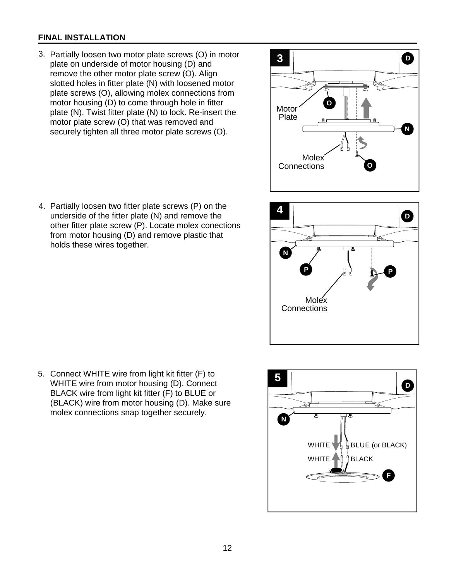#### **FINAL INSTALLATION**

 3. Partially loosen two motor plate screws (O) in motor plate on underside of motor housing (D) and remove the other motor plate screw (O). Align slotted holes in fitter plate (N) with loosened motor plate screws (O), allowing molex connections from motor housing (D) to come through hole in fitter plate (N). Twist fitter plate (N) to lock. Re-insert the motor plate screw (O) that was removed and securely tighten all three motor plate screws (O).









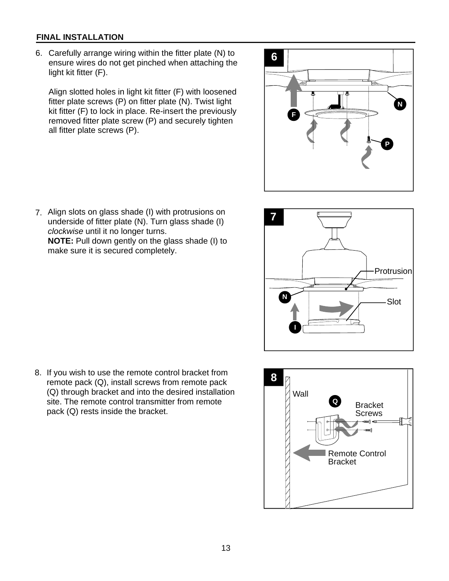#### **FINAL INSTALLATION**

 6. Carefully arrange wiring within the fitter plate (N) to ensure wires do not get pinched when attaching the light kit fitter (F).

Align slotted holes in light kit fitter (F) with loosened fitter plate screws (P) on fitter plate (N). Twist light kit fitter (F) to lock in place. Re-insert the previously removed fitter plate screw (P) and securely tighten all fitter plate screws (P).

 7. Align slots on glass shade (I) with protrusions on underside of fitter plate (N). Turn glass shade (I) *clockwise* until it no longer turns. **NOTE:** Pull down gently on the glass shade (I) to make sure it is secured completely.

 8. If you wish to use the remote control bracket from remote pack (Q), install screws from remote pack (Q) through bracket and into the desired installation site. The remote control transmitter from remote site. The remote control transmitter from remote<br>pack (Q) rests inside the bracket.





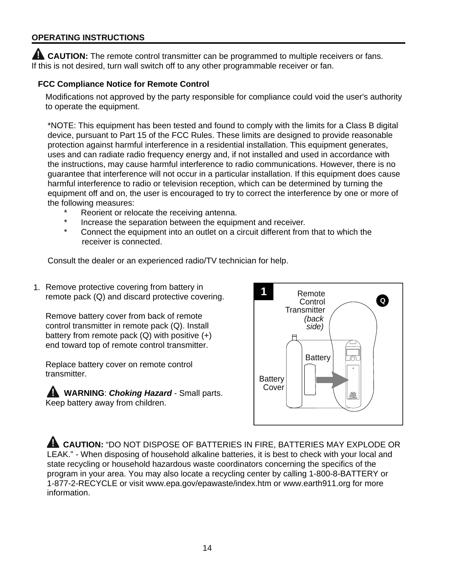#### **OPERATING INSTRUCTIONS**

**AL CAUTION:** The remote control transmitter can be programmed to multiple receivers or fans. If this is not desired, turn wall switch off to any other programmable receiver or fan.

#### **FCC Compliance Notice for Remote Control**

Modifications not approved by the party responsible for compliance could void the user's authority to operate the equipment.

\*NOTE: This equipment has been tested and found to comply with the limits for a Class B digital device, pursuant to Part 15 of the FCC Rules. These limits are designed to provide reasonable protection against harmful interference in a residential installation. This equipment generates, uses and can radiate radio frequency energy and, if not installed and used in accordance with the instructions, may cause harmful interference to radio communications. However, there is no guarantee that interference will not occur in a particular installation. If this equipment does cause harmful interference to radio or television reception, which can be determined by turning the equipment off and on, the user is encouraged to try to correct the interference by one or more of the following measures:

- \* Reorient or relocate the receiving antenna.
- Increase the separation between the equipment and receiver.
- \* Connect the equipment into an outlet on a circuit different from that to which the receiver is connected.

Consult the dealer or an experienced radio/TV technician for help.

1. Remove protective covering from battery in remote pack (Q) and discard protective covering.

Remove battery cover from back of remote control transmitter in remote pack (Q). Install battery from remote pack  $(Q)$  with positive  $(+)$ end toward top of remote control transmitter.

Replace battery cover on remote control transmitter.

 **WARNING**: *Choking Hazard* - Small parts. Keep battery away from children.



 **CAUTION:** "DO NOT DISPOSE OF BATTERIES IN FIRE, BATTERIES MAY EXPLODE OR LEAK." - When disposing of household alkaline batteries, it is best to check with your local and state recycling or household hazardous waste coordinators concerning the specifics of the program in your area. You may also locate a recycling center by calling 1-800-8-BATTERY or 1-877-2-RECYCLE or visit www.epa.gov/epawaste/index.htm or www.earth911.org for more information.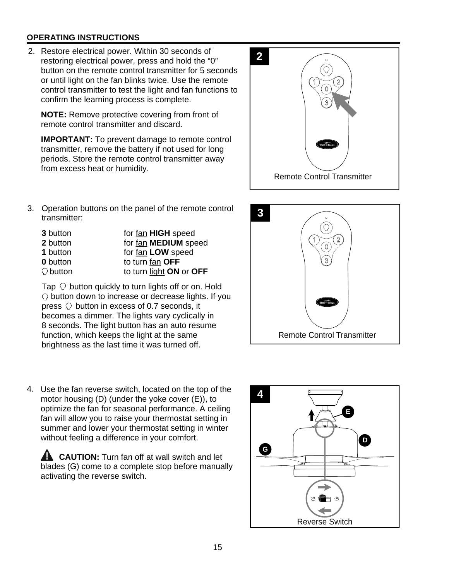#### **OPERATING INSTRUCTIONS**

 2. Restore electrical power. Within 30 seconds of restoring electrical power, press and hold the "0" button on the remote control transmitter for 5 seconds or until light on the fan blinks twice. Use the remote control transmitter to test the light and fan functions to confirm the learning process is complete.

**NOTE:** Remove protective covering from front of remote control transmitter and discard.

**IMPORTANT:** To prevent damage to remote control transmitter, remove the battery if not used for long periods. Store the remote control transmitter away from excess heat or humidity.



Operation buttons on the panel of the remote control 3. **3** transmitter:

| 3 button          | for fan HIGH speed      |
|-------------------|-------------------------|
| 2 button          | for fan MEDIUM speed    |
| 1 button          | for fan LOW speed       |
| <b>0</b> button   | to turn fan OFF         |
| $\bigcirc$ button | to turn light ON or OFF |

Tap  $\heartsuit$  button quickly to turn lights off or on. Hold  $\heartsuit$  button down to increase or decrease lights. If you press  $\heartsuit$  button in excess of 0.7 seconds, it becomes a dimmer. The lights vary cyclically in 8 seconds. The light button has an auto resume function, which keeps the light at the same brightness as the last time it was turned off.

 4. Use the fan reverse switch, located on the top of the motor housing (D) (under the yoke cover (E)), to optimize the fan for seasonal performance. A ceiling fan will allow you to raise your thermostat setting in summer and lower your thermostat setting in winter without feeling a difference in your comfort.

**CAUTION:** Turn fan off at wall switch and let blades (G) come to a complete stop before manually activating the reverse switch.



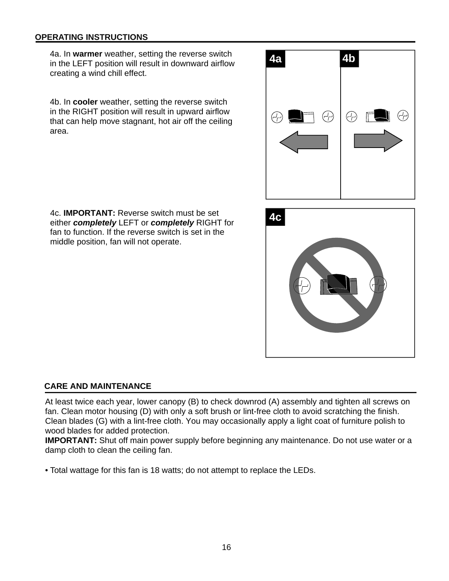#### **OPERATING INSTRUCTIONS**

4a. In **warmer** weather, setting the reverse switch in the LEFT position will result in downward airflow creating a wind chill effect.

4b. In **cooler** weather, setting the reverse switch in the RIGHT position will result in upward airflow that can help move stagnant, hot air off the ceiling area.



**4c** 4c. **IMPORTANT:** Reverse switch must be set either *completely* LEFT or *completely* RIGHT for fan to function. If the reverse switch is set in the middle position, fan will not operate.

#### **CARE AND MAINTENANCE**

At least twice each year, lower canopy (B) to check downrod (A) assembly and tighten all screws on fan. Clean motor housing (D) with only a soft brush or lint-free cloth to avoid scratching the finish. Clean blades (G) with a lint-free cloth. You may occasionally apply a light coat of furniture polish to wood blades for added protection.

**IMPORTANT:** Shut off main power supply before beginning any maintenance. Do not use water or a damp cloth to clean the ceiling fan.

• Total wattage for this fan is 18 watts; do not attempt to replace the LEDs.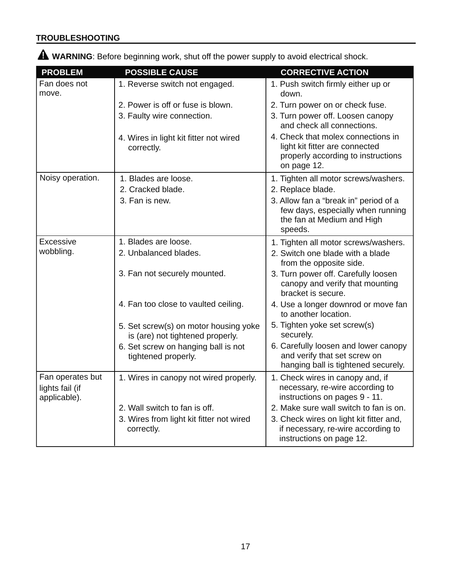## **TROUBLESHOOTING**

 **WARNING**: Before beginning work, shut off the power supply to avoid electrical shock.

| <b>PROBLEM</b>                                      | <b>POSSIBLE CAUSE</b>                                                     | <b>CORRECTIVE ACTION</b>                                                                                                  |
|-----------------------------------------------------|---------------------------------------------------------------------------|---------------------------------------------------------------------------------------------------------------------------|
| Fan does not<br>move.                               | 1. Reverse switch not engaged.                                            | 1. Push switch firmly either up or<br>down.                                                                               |
|                                                     | 2. Power is off or fuse is blown.                                         | 2. Turn power on or check fuse.                                                                                           |
|                                                     | 3. Faulty wire connection.                                                | 3. Turn power off. Loosen canopy<br>and check all connections.                                                            |
|                                                     | 4. Wires in light kit fitter not wired<br>correctly.                      | 4. Check that molex connections in<br>light kit fitter are connected<br>properly according to instructions<br>on page 12. |
| Noisy operation.                                    | 1. Blades are loose.                                                      | 1. Tighten all motor screws/washers.                                                                                      |
|                                                     | 2. Cracked blade.                                                         | 2. Replace blade.                                                                                                         |
|                                                     | 3. Fan is new.                                                            | 3. Allow fan a "break in" period of a<br>few days, especially when running<br>the fan at Medium and High                  |
|                                                     |                                                                           | speeds.                                                                                                                   |
| Excessive                                           | 1. Blades are loose.                                                      | 1. Tighten all motor screws/washers.                                                                                      |
| wobbling.                                           | 2. Unbalanced blades.                                                     | 2. Switch one blade with a blade<br>from the opposite side.                                                               |
|                                                     | 3. Fan not securely mounted.                                              | 3. Turn power off. Carefully loosen<br>canopy and verify that mounting<br>bracket is secure.                              |
|                                                     | 4. Fan too close to vaulted ceiling.                                      | 4. Use a longer downrod or move fan<br>to another location.                                                               |
|                                                     | 5. Set screw(s) on motor housing yoke<br>is (are) not tightened properly. | 5. Tighten yoke set screw(s)<br>securely.                                                                                 |
|                                                     | 6. Set screw on hanging ball is not<br>tightened properly.                | 6. Carefully loosen and lower canopy<br>and verify that set screw on<br>hanging ball is tightened securely.               |
| Fan operates but<br>lights fail (if<br>applicable). | 1. Wires in canopy not wired properly.                                    | 1. Check wires in canopy and, if<br>necessary, re-wire according to<br>instructions on pages 9 - 11.                      |
|                                                     | 2. Wall switch to fan is off.                                             | 2. Make sure wall switch to fan is on.                                                                                    |
|                                                     | 3. Wires from light kit fitter not wired<br>correctly.                    | 3. Check wires on light kit fitter and,<br>if necessary, re-wire according to<br>instructions on page 12.                 |